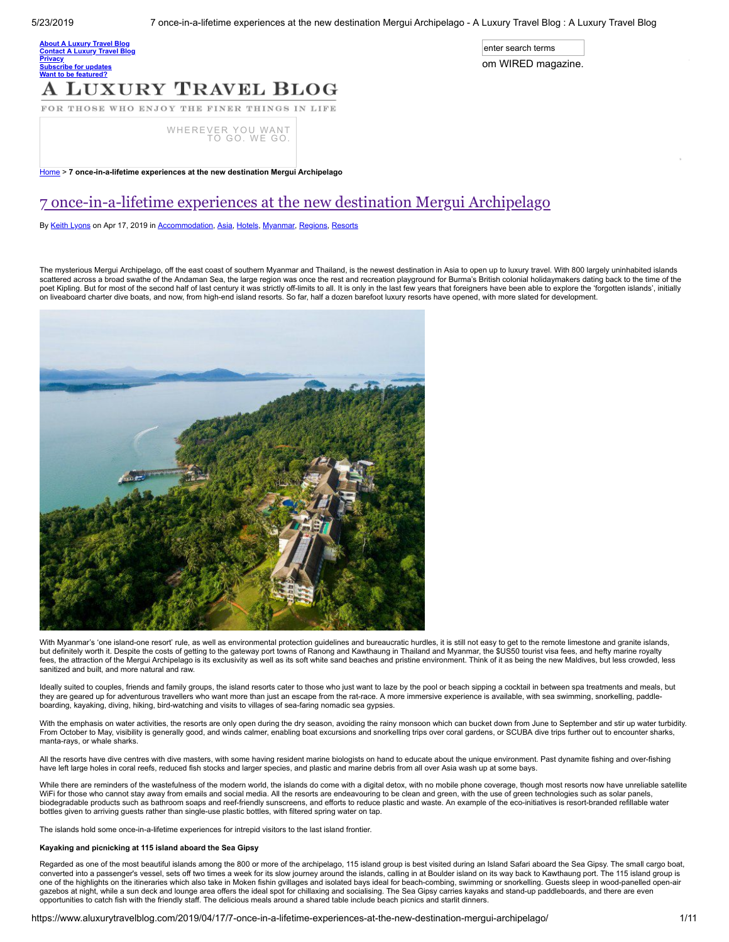enter search terms

om WIRED magazine.

O n e c a l l a l t h e a n s w e r s w e r s w e r s w e r s w e r s w e r s w e r s w e r s w e r s w e r s

### **bout A [Luxury](https://www.aluxurytravelblog.com/about/) Travel Blog** [Contact](https://www.aluxurytravelblog.com/contact-us/) A Luxury Travel B **[Privacy](https://www.aluxurytravelblog.com/privacy/)** <u>**[Subscribe](https://www.aluxurytravelblog.com/subscribe-for-updates/) for updates</u>**</u>

## Want to be [featured?](https://www.aluxurytravelblog.com/want-to-be-featured/) **LUXURY TRAVEL BLOG**

FOR THOSE WHO ENJOY THE FINER THINGS IN LIFE

[WHEREVER](https://www.dialaflight.com/?referrer=aluxurytravelblog&utm_source=blog&utm_medium=web-banner&utm_content=400x80&utm_campaign=DAF_ALuxuryTravelBlog) YOU WANT TO GO. WE GO.

[Home](https://www.aluxurytravelblog.com/) > 7 once-in-a-lifetime experiences at the new destination Mergui Archipelago

## [7 once-in-a-lifetime experiences at the new destination Mergui Archipelago](https://www.aluxurytravelblog.com/2019/04/17/7-once-in-a-lifetime-experiences-at-the-new-destination-mergui-archipelago/)

By [Keith Lyons](https://www.aluxurytravelblog.com/author/klyons/) on Apr 17, 2019 in [Accommodation](https://www.aluxurytravelblog.com/category/accommodation/), [Asia](https://www.aluxurytravelblog.com/category/regions/asia/), [Hotels](https://www.aluxurytravelblog.com/category/accommodation/hotels/), [Myanmar](https://www.aluxurytravelblog.com/category/regions/asia/myanmar/), [Regions](https://www.aluxurytravelblog.com/category/regions/), [Resorts](https://www.aluxurytravelblog.com/category/accommodation/resorts/)

The mysterious Mergui Archipelago, off the east coast of southern Myanmar and Thailand, is the newest destination in Asia to open up to luxury travel. With 800 largely uninhabited islands scattered across a broad swathe of the Andaman Sea, the large region was once the rest and recreation playground for Burma's British colonial holidaymakers dating back to the time of the poet Kipling. But for most of the second half of last century it was strictly off-limits to all. It is only in the last few years that foreigners have been able to explore the 'forgotten islands', initially on liveaboard charter dive boats, and now, from high-end island resorts. So far, half a dozen barefoot luxury resorts have opened, with more slated for development.



With Myanmar's 'one island-one resort' rule, as well as environmental protection guidelines and bureaucratic hurdles, it is still not easy to get to the remote limestone and granite islands, but definitely worth it. Despite the costs of getting to the gateway port towns of Ranong and Kawthaung in Thailand and Myanmar, the \$US50 tourist visa fees, and hefty marine royalty fees, the attraction of the Mergui Archipelago is its exclusivity as well as its soft white sand beaches and pristine environment. Think of it as being the new Maldives, but less crowded, less sanitized and built, and more natural and raw.

Ideally suited to couples, friends and family groups, the island resorts cater to those who just want to laze by the pool or beach sipping a cocktail in between spa treatments and meals, but they are geared up for adventurous travellers who want more than just an escape from the rat-race. A more immersive experience is available, with sea swimming, snorkelling, paddleboarding, kayaking, diving, hiking, bird-watching and visits to villages of sea-faring nomadic sea gypsies.

With the emphasis on water activities, the resorts are only open during the dry season, avoiding the rainy monsoon which can bucket down from June to September and stir up water turbidity. From October to May, visibility is generally good, and winds calmer, enabling boat excursions and snorkelling trips over coral gardens, or SCUBA dive trips further out to encounter sharks, manta-rays, or whale sharks.

All the resorts have dive centres with dive masters, with some having resident marine biologists on hand to educate about the unique environment. Past dynamite fishing and over-fishing have left large holes in coral reefs, reduced fish stocks and larger species, and plastic and marine debris from all over Asia wash up at some bays.

While there are reminders of the wastefulness of the modern world, the islands do come with a digital detox, with no mobile phone coverage, though most resorts now have unreliable satellite WiFi for those who cannot stay away from emails and social media. All the resorts are endeavouring to be clean and green, with the use of green technologies such as solar panels, biodegradable products such as bathroom soaps and reef-friendly sunscreens, and efforts to reduce plastic and waste. An example of the eco-initiatives is resort-branded refillable water bottles given to arriving guests rather than single-use plastic bottles, with filtered spring water on tap.

The islands hold some once-in-a-lifetime experiences for intrepid visitors to the last island frontier.

### Kayaking and picnicking at 115 island aboard the Sea Gipsy

Regarded as one of the most beautiful islands among the 800 or more of the archipelago, 115 island group is best visited during an Island Safari aboard the Sea Gipsy. The small cargo boat, converted into a passenger's vessel, sets off two times a week for its slow journey around the islands, calling in at Boulder island on its way back to Kawthaung port. The 115 island group is one of the highlights on the itineraries which also take in Moken fishin gvillages and isolated bays ideal for beach-combing, swimming or snorkelling. Guests sleep in wood-panelled open-air gazebos at night, while a sun deck and lounge area offers the ideal spot for chillaxing and socialising. The Sea Gipsy carries kayaks and stand-up paddleboards, and there are even opportunities to catch fish with the friendly staff. The delicious meals around a shared table include beach picnics and starlit dinners.

https://www.aluxurytravelblog.com/2019/04/17/7-once-in-a-lifetime-experiences-at-the-new-destination-mergui-archipelago/ 1/11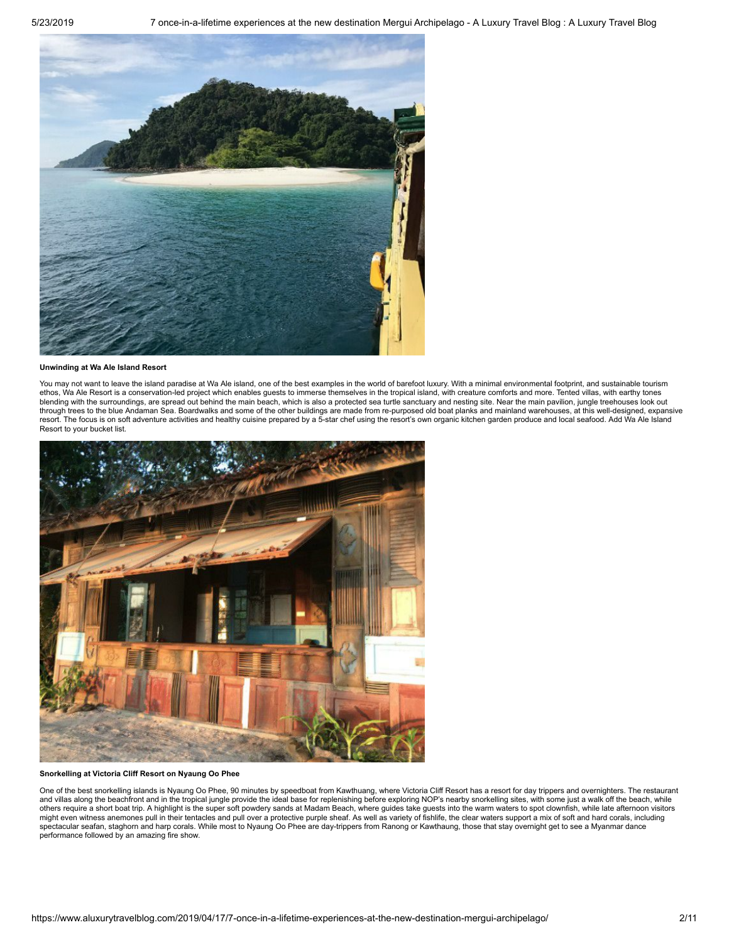

### Unwinding at Wa Ale Island Resort

You may not want to leave the island paradise at Wa Ale island, one of the best examples in the world of barefoot luxury. With a minimal environmental footprint, and sustainable tourism ethos, Wa Ale Resort is a conservation-led project which enables guests to immerse themselves in the tropical island, with creature comforts and more. Tented villas, with earthy tones blending with the surroundings, are spread out behind the main beach, which is also a protected sea turtle sanctuary and nesting site. Near the main pavilion, jungle treehouses look out through trees to the blue Andaman Sea. Boardwalks and some of the other buildings are made from re-purposed old boat planks and mainland warehouses, at this well-designed, expansive resort. The focus is on soft adventure activities and healthy cuisine prepared by a 5-star chef using the resort's own organic kitchen garden produce and local seafood. Add Wa Ale Island Resort to your bucket list.



Snorkelling at Victoria Cliff Resort on Nyaung Oo Phee

One of the best snorkelling islands is Nyaung Oo Phee, 90 minutes by speedboat from Kawthuang, where Victoria Cliff Resort has a resort for day trippers and overnighters. The restaurant and villas along the beachfront and in the tropical jungle provide the ideal base for replenishing before exploring NOP's nearby snorkelling sites, with some just a walk off the beach, while<br>others require a short boat tri spectacular seafan, staghorn and harp corals. While most to Nyaung Oo Phee are day-trippers from Ranong or Kawthaung, those that stay overnight get to see a Myanmar dance performance followed by an amazing fire show.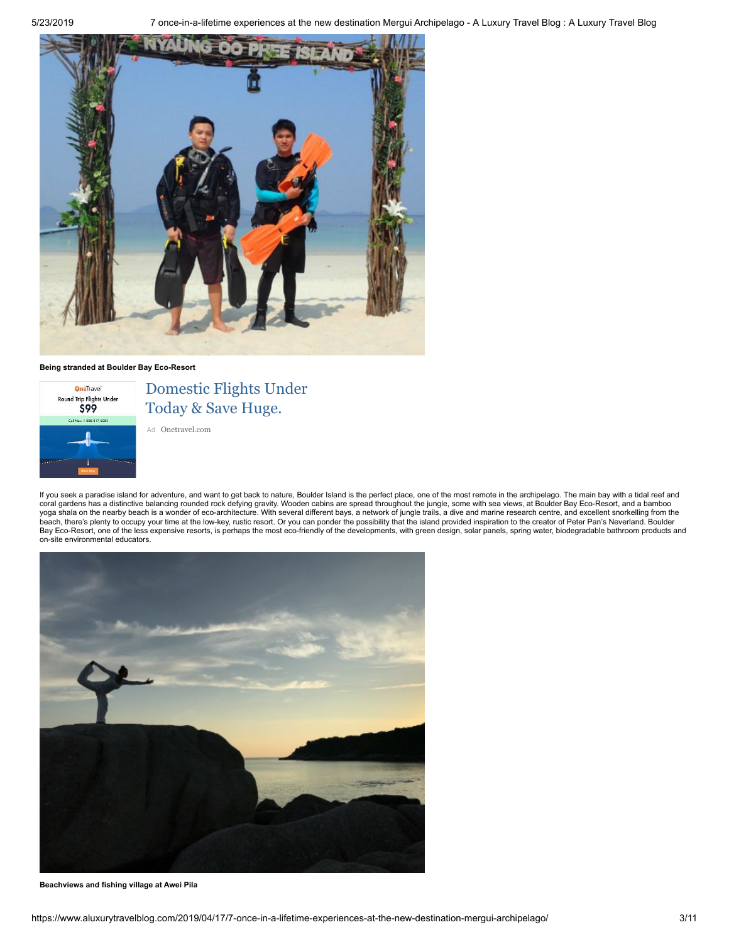

### Being stranded at Boulder Bay Eco-Resort



Domestic Flights Under Today & Save Huge.

Ad [Onetravel.com](https://www.googleadservices.com/pagead/aclk?sa=L&ai=CiT_dqkXmXM66N4SqogOmvLSgC9Ts57FW8biguI4I5rnLxOcNEAEggsuJZ2DpyP4EoAHSxqr6A8gBBqgDAcgDwwSqBK4CT9AHVzKTHphZtpU4IKVcZoM4VJL1FO_-65RNz2_FFHIkvU384MhYut82VmiHCBxZqZ6RYh5CGnEd3G5CKMgbw-n19N59p3iYn1VgR1cfMXKWbWrlQHNNY8HBGLxM06fI0D99gB45QIMsbPSXSv4J8oz2AdvaTuO0vvNmfrW8Gglix3pyw_Mkc1MKk1w6WRQTtSfTelbFNc0b9bbNpFsGFwLVQ_qHgkCL2PjFafC8on64CiNQ6fMo9WFVA_FRq_bKTnOddsXEs2V1FVu_47WjXVryBgSNWec33yZA7C3167alBcQvZm7gfVz8Uu_Dsev_GbuYtAb-ivJCzpWLVFznyGTuCMgf3fyriGTMPfcMFRI2JEqTkGINqx-3qPRjuDvMsQ9ZoZ3_bdrjD3NQSwiQBgGgBjeAB5a51QWIBwGQBwKoB47OG6gH1ckbqAfg0xuoB7oGqAfZyxuoB8_MG6gHpr4bqAfs1RvYBwHSCAYIABACGAqxCdORlw4QNNQggAoB2BMMiBQF&ae=1&num=1&cid=CAMSeQClSFh3gYzlGoC4eUnQniwH_mjRL-gH74B6gtg67TAZLuqfRe4p-tsyh_JD8VXJQY25nZP5hY53kP0Nd3sQ1HJJcSCJpiIvPU3YKUcAGlGC0fMWf29wTF5CfJZREO5dK9-agYqDlKl6ztYZyA2w3NU7JvAft74JD_8&sig=AOD64_0nrgIYSyIropk3Md7pg8QzM7aHsw&client=ca-pub-4477780815099669&adurl=https://www.onetravel.com/booknow/flights/flights-under-99%3Ffpaffiliate%3Dgooglegdn-mobile%26fpsub%3D%26campaignID%3D1483710959%26adgroupID%3D58978638418%26refid%3D%26gclid%3DCjwKCAjwiZnnBRBQEiwAcWKfYn3CmQhpHmnRF8RdN50fUAGMOx9J5BQcrCbdGYq3uFenMhOPRuT3kBoCJQoQAvD_BwE)

If you seek a paradise island for adventure, and want to get back to nature, Boulder Island is the perfect place, one of the most remote in the archipelago. The main bay with a tidal reef and coral gardens has a distinctive balancing rounded rock defying gravity. Wooden cabins are spread throughout the jungle, some with sea views, at Boulder Bay Eco-Resort, and a bamboo<br>yoga shala on the nearby beach is a wonde Bay Eco-Resort, one of the less expensive resorts, is perhaps the most eco-friendly of the developments, with green design, solar panels, spring water, biodegradable bathroom products and panels, spring water, biodegradabl on-site environmental educators.



Beachviews and fishing village at Awei Pila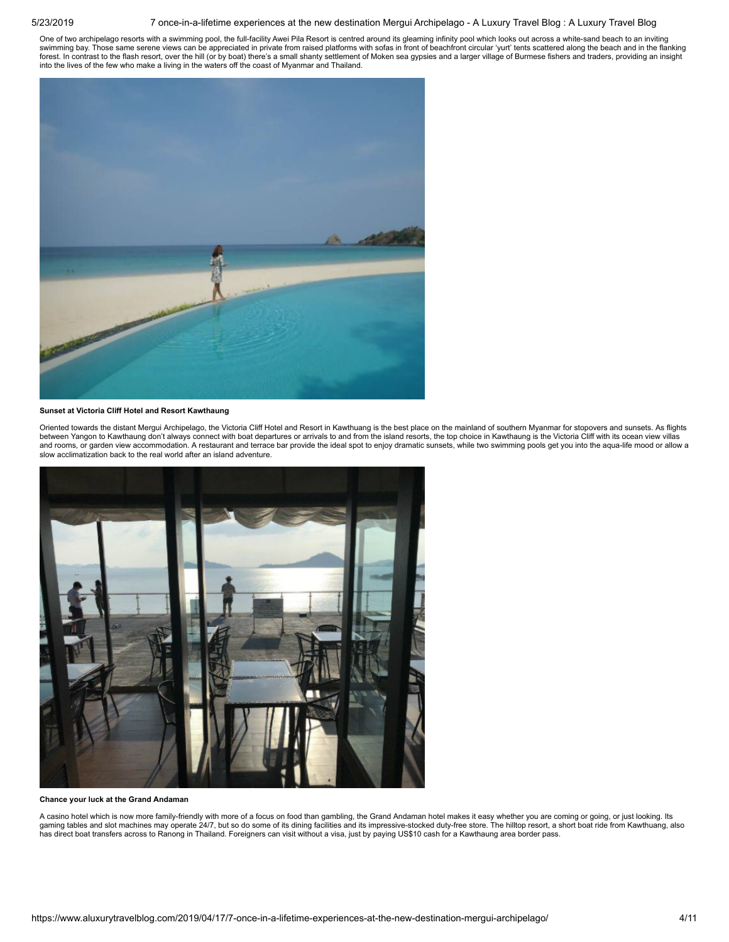### 5/23/2019 7 once-in-a-lifetime experiences at the new destination Mergui Archipelago - A Luxury Travel Blog : A Luxury Travel Blog

One of two archipelago resorts with a swimming pool, the full-facility Awei Pila Resort is centred around its gleaming infinity pool which looks out across a white-sand beach to an inviting<br>swimming bay. Those same serene into the lives of the few who make a living in the waters off the coast of Myanmar and Thailand.



### Sunset at Victoria Cliff Hotel and Resort Kawthaung

Oriented towards the distant Mergui Archipelago, the Victoria Cliff Hotel and Resort in Kawthuang is the best place on the mainland of southern Myanmar for stopovers and sunsets. As flights between Yangon to Kawthaung don't always connect with boat departures or arrivals to and from the island resorts, the top choice in Kawthaung is the Victoria Cliff with its ocean view villas and rooms, or garden view accommodation. A restaurant and terrace bar provide the ideal spot to enjoy dramatic sunsets, while two swimming pools get you into the aqua-life mood or allow a slow acclimatization back to the real world after an island adventure.



Chance your luck at the Grand Andaman

A casino hotel which is now more family-friendly with more of a focus on food than gambling, the Grand Andaman hotel makes it easy whether you are coming or going, or just looking. Its gaming tables and slot machines may operate 24/7, but so do some of its dining facilities and its impressive-stocked duty-free store. The hilltop resort, a short boat ride from Kawthuang, also has direct boat transfers across to Ranong in Thailand. Foreigners can visit without a visa, just by paying US\$10 cash for a Kawthaung area border pass.